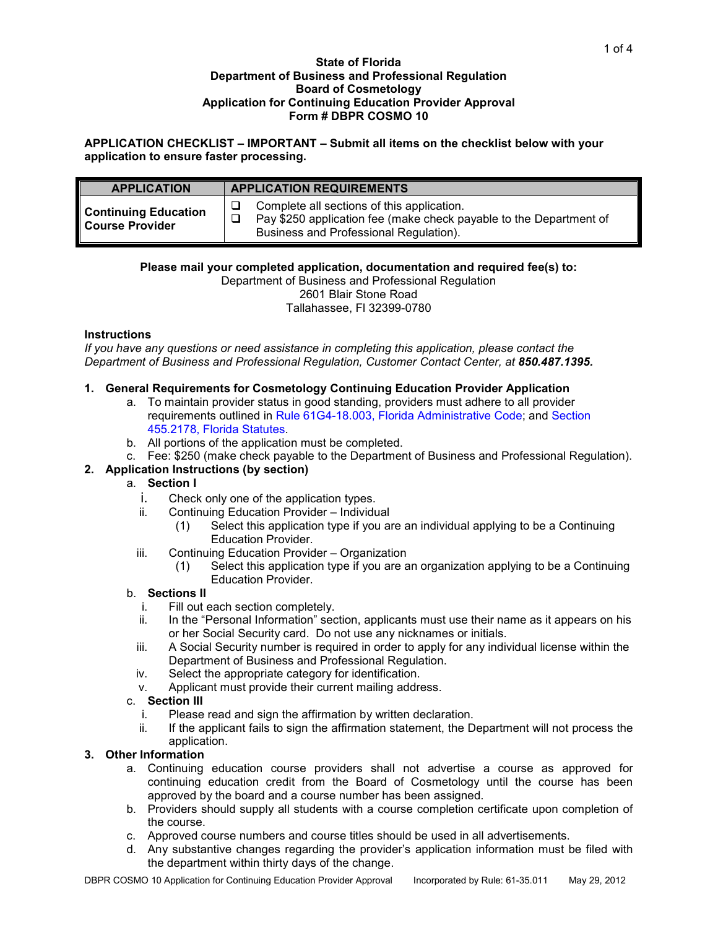#### **State of Florida Department of Business and Professional Regulation Board of Cosmetology Application for Continuing Education Provider Approval Form # DBPR COSMO 10**

**APPLICATION CHECKLIST – IMPORTANT – Submit all items on the checklist below with your application to ensure faster processing.**

| <b>APPLICATION</b>                                    | <b>APPLICATION REQUIREMENTS</b>                                                                                                                            |  |  |
|-------------------------------------------------------|------------------------------------------------------------------------------------------------------------------------------------------------------------|--|--|
| <b>Continuing Education</b><br><b>Course Provider</b> | Complete all sections of this application.<br>Pay \$250 application fee (make check payable to the Department of<br>Business and Professional Regulation). |  |  |

## **Please mail your completed application, documentation and required fee(s) to:**

Department of Business and Professional Regulation 2601 Blair Stone Road Tallahassee, Fl 32399-0780

## **Instructions**

*If you have any questions or need assistance in completing this application, please contact the Department of Business and Professional Regulation, Customer Contact Center, at 850.487.1395.*

## **1. General Requirements for Cosmetology Continuing Education Provider Application**

- a. To maintain provider status in good standing, providers must adhere to all provider requirements outlined in [Rule 61G4-18.003, Florida Administrative Code;](https://www.flrules.org/gateway/readFile.asp?sid=0&type=1&tid=8004360&file=61G4-18.003.doc) and [Section](http://www.flsenate.gov/Statutes/index.cfm?App_mode=Display_Statute&Search_String=&URL=0400-0499/0455/Sections/0455.2178.html)  [455.2178, Florida Statutes.](http://www.flsenate.gov/Statutes/index.cfm?App_mode=Display_Statute&Search_String=&URL=0400-0499/0455/Sections/0455.2178.html)
- b. All portions of the application must be completed.
- c. Fee: \$250 (make check payable to the Department of Business and Professional Regulation).

# **2. Application Instructions (by section)**

## a. **Section I**

- i. Check only one of the application types.<br>ii. Continuing Education Provider Individu
- Continuing Education Provider Individual
	- (1) Select this application type if you are an individual applying to be a Continuing Education Provider.
- iii. Continuing Education Provider Organization
	- (1) Select this application type if you are an organization applying to be a Continuing Education Provider.

#### b. **Sections II**

- i. Fill out each section completely.<br>ii. In the "Personal Information" sec
- In the "Personal Information" section, applicants must use their name as it appears on his or her Social Security card. Do not use any nicknames or initials.
- iii. A Social Security number is required in order to apply for any individual license within the Department of Business and Professional Regulation.
- iv. Select the appropriate category for identification.
- v. Applicant must provide their current mailing address.

## c. **Section III**

- i. Please read and sign the affirmation by written declaration.
- ii. If the applicant fails to sign the affirmation statement, the Department will not process the application.

#### **3. Other Information**

- a. Continuing education course providers shall not advertise a course as approved for continuing education credit from the Board of Cosmetology until the course has been approved by the board and a course number has been assigned.
- b. Providers should supply all students with a course completion certificate upon completion of the course.
- c. Approved course numbers and course titles should be used in all advertisements.
- d. Any substantive changes regarding the provider's application information must be filed with the department within thirty days of the change.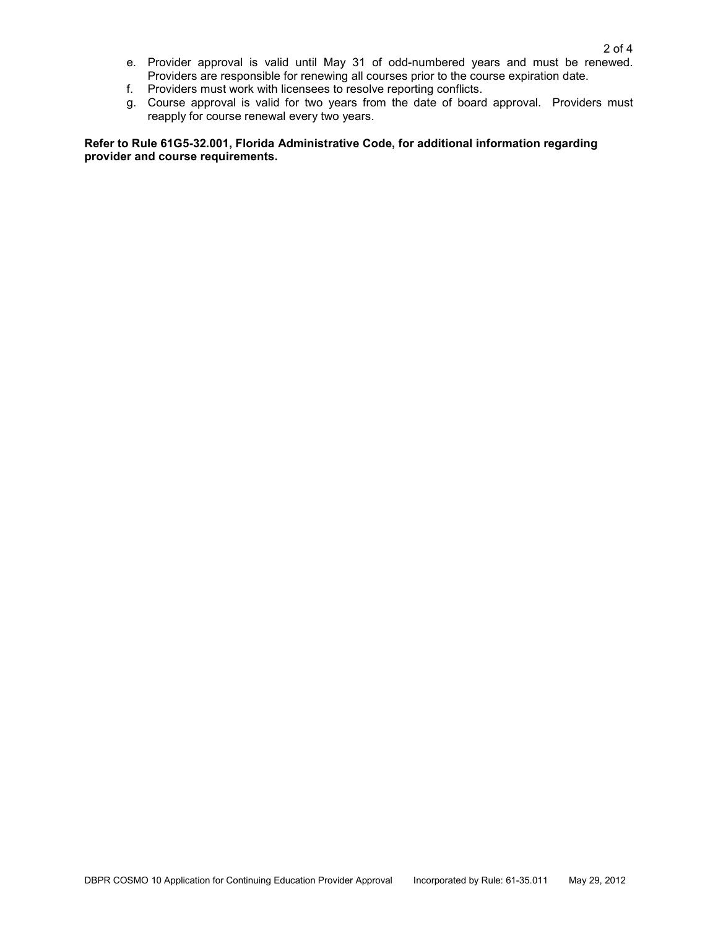- e. Provider approval is valid until May 31 of odd-numbered years and must be renewed. Providers are responsible for renewing all courses prior to the course expiration date.
- f. Providers must work with licensees to resolve reporting conflicts.
- g. Course approval is valid for two years from the date of board approval. Providers must reapply for course renewal every two years.

**Refer to Rule 61G5-32.001, Florida Administrative Code, for additional information regarding provider and course requirements.**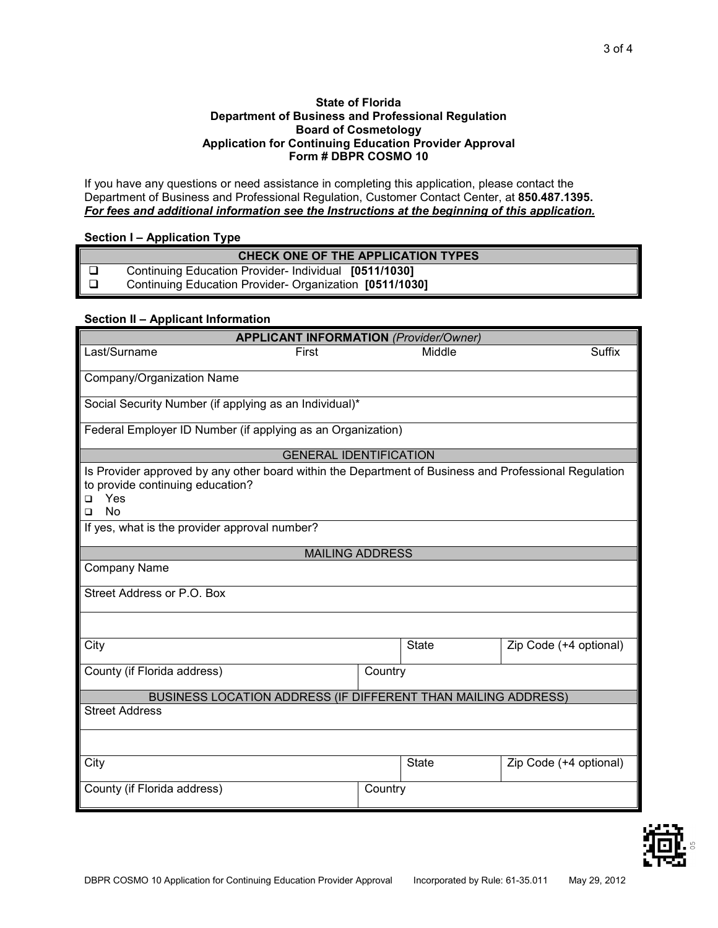#### **State of Florida Department of Business and Professional Regulation Board of Cosmetology Application for Continuing Education Provider Approval Form # DBPR COSMO 10**

If you have any questions or need assistance in completing this application, please contact the Department of Business and Professional Regulation, Customer Contact Center, at **850.487.1395.** *For fees and additional information see the Instructions at the beginning of this application.*

## **Section I – Application Type**

| CHECK ONE OF THE APPLICATION TYPES |                                                        |  |
|------------------------------------|--------------------------------------------------------|--|
|                                    | Continuing Education Provider- Individual [0511/1030]  |  |
|                                    | Continuing Education Provider-Organization [0511/1030] |  |

## **Section II – Applicant Information**

| <b>APPLICANT INFORMATION (Provider/Owner)</b>                                                                                                                                |                                                             |              |                        |  |  |  |  |
|------------------------------------------------------------------------------------------------------------------------------------------------------------------------------|-------------------------------------------------------------|--------------|------------------------|--|--|--|--|
| Last/Surname<br>First                                                                                                                                                        |                                                             | Middle       | Suffix                 |  |  |  |  |
|                                                                                                                                                                              |                                                             |              |                        |  |  |  |  |
| Company/Organization Name                                                                                                                                                    |                                                             |              |                        |  |  |  |  |
| Social Security Number (if applying as an Individual)*                                                                                                                       |                                                             |              |                        |  |  |  |  |
|                                                                                                                                                                              | Federal Employer ID Number (if applying as an Organization) |              |                        |  |  |  |  |
| <b>GENERAL IDENTIFICATION</b>                                                                                                                                                |                                                             |              |                        |  |  |  |  |
| Is Provider approved by any other board within the Department of Business and Professional Regulation<br>to provide continuing education?<br>Yes<br>□<br><b>No</b><br>$\Box$ |                                                             |              |                        |  |  |  |  |
| If yes, what is the provider approval number?                                                                                                                                |                                                             |              |                        |  |  |  |  |
| <b>MAILING ADDRESS</b>                                                                                                                                                       |                                                             |              |                        |  |  |  |  |
| Company Name                                                                                                                                                                 |                                                             |              |                        |  |  |  |  |
| Street Address or P.O. Box                                                                                                                                                   |                                                             |              |                        |  |  |  |  |
|                                                                                                                                                                              |                                                             |              |                        |  |  |  |  |
| City                                                                                                                                                                         |                                                             | <b>State</b> | Zip Code (+4 optional) |  |  |  |  |
| County (if Florida address)                                                                                                                                                  | Country                                                     |              |                        |  |  |  |  |
| BUSINESS LOCATION ADDRESS (IF DIFFERENT THAN MAILING ADDRESS)                                                                                                                |                                                             |              |                        |  |  |  |  |
| <b>Street Address</b>                                                                                                                                                        |                                                             |              |                        |  |  |  |  |
|                                                                                                                                                                              |                                                             |              |                        |  |  |  |  |
| City                                                                                                                                                                         |                                                             | <b>State</b> | Zip Code (+4 optional) |  |  |  |  |
| County (if Florida address)<br>Country                                                                                                                                       |                                                             |              |                        |  |  |  |  |